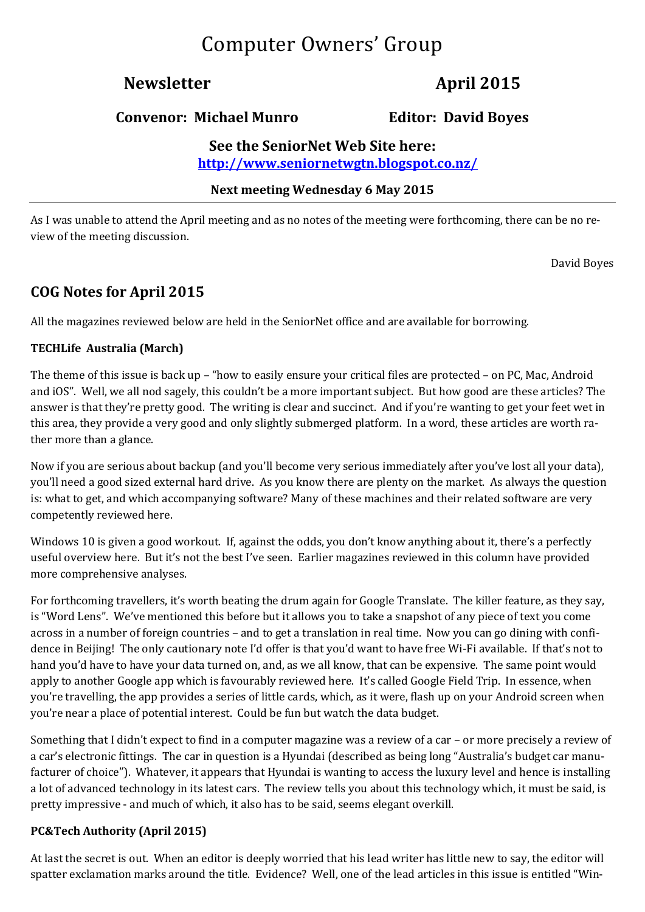# Computer Owners' Group

# **Newsletter April 2015**

### **Convenor: Michael Munro Editor: David Boyes**

**See the SeniorNet Web Site here: <http://www.seniornetwgtn.blogspot.co.nz/>**

**Next meeting Wednesday 6 May 2015** 

As I was unable to attend the April meeting and as no notes of the meeting were forthcoming, there can be no review of the meeting discussion.

David Boyes

## **COG Notes for April 2015**

All the magazines reviewed below are held in the SeniorNet office and are available for borrowing.

#### **TECHLife Australia (March)**

The theme of this issue is back up – "how to easily ensure your critical files are protected – on PC, Mac, Android and iOS". Well, we all nod sagely, this couldn't be a more important subject. But how good are these articles? The answer is that they're pretty good. The writing is clear and succinct. And if you're wanting to get your feet wet in this area, they provide a very good and only slightly submerged platform. In a word, these articles are worth rather more than a glance.

Now if you are serious about backup (and you'll become very serious immediately after you've lost all your data), you'll need a good sized external hard drive. As you know there are plenty on the market. As always the question is: what to get, and which accompanying software? Many of these machines and their related software are very competently reviewed here.

Windows 10 is given a good workout. If, against the odds, you don't know anything about it, there's a perfectly useful overview here. But it's not the best I've seen. Earlier magazines reviewed in this column have provided more comprehensive analyses.

For forthcoming travellers, it's worth beating the drum again for Google Translate. The killer feature, as they say, is "Word Lens". We've mentioned this before but it allows you to take a snapshot of any piece of text you come across in a number of foreign countries – and to get a translation in real time. Now you can go dining with confidence in Beijing! The only cautionary note I'd offer is that you'd want to have free Wi-Fi available. If that's not to hand you'd have to have your data turned on, and, as we all know, that can be expensive. The same point would apply to another Google app which is favourably reviewed here. It's called Google Field Trip. In essence, when you're travelling, the app provides a series of little cards, which, as it were, flash up on your Android screen when you're near a place of potential interest. Could be fun but watch the data budget.

Something that I didn't expect to find in a computer magazine was a review of a car – or more precisely a review of a car's electronic fittings. The car in question is a Hyundai (described as being long "Australia's budget car manufacturer of choice"). Whatever, it appears that Hyundai is wanting to access the luxury level and hence is installing a lot of advanced technology in its latest cars. The review tells you about this technology which, it must be said, is pretty impressive - and much of which, it also has to be said, seems elegant overkill.

#### **PC&Tech Authority (April 2015)**

At last the secret is out. When an editor is deeply worried that his lead writer has little new to say, the editor will spatter exclamation marks around the title. Evidence? Well, one of the lead articles in this issue is entitled "Win